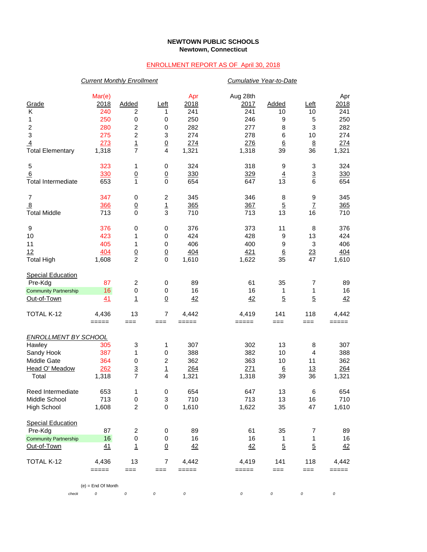## **NEWTOWN PUBLIC SCHOOLS Newtown, Connecticut**

## ENROLLMENT REPORT AS OF April 30, 2018

|                              | <b>Current Monthly Enrollment</b> |                 |                         |             |                  | Cumulative Year-to-Date |                 |             |  |  |
|------------------------------|-----------------------------------|-----------------|-------------------------|-------------|------------------|-------------------------|-----------------|-------------|--|--|
| Grade                        | Mar(e)<br>2018                    | <b>Added</b>    | Left                    | Apr<br>2018 | Aug 28th<br>2017 | <b>Added</b>            | Left            | Apr<br>2018 |  |  |
| Κ                            | 240                               | 2               | 1                       | 241         | 241              | 10                      | 10              | 241         |  |  |
| 1                            | 250                               | 0               | 0                       | 250         | 246              | 9                       | 5               | 250         |  |  |
|                              | 280                               | 2               | 0                       | 282         | 277              | 8                       | 3               | 282         |  |  |
| $\frac{2}{3}$                | 275                               | 2               | 3                       | 274         | 278              | 6                       | 10              | 274         |  |  |
| $\overline{4}$               | 273                               |                 |                         | 274         | 276              | 6                       | $\underline{8}$ | 274         |  |  |
| <b>Total Elementary</b>      | 1,318                             | $\frac{1}{7}$   | $\frac{0}{4}$           | 1,321       | 1,318            | 39                      | 36              | 1,321       |  |  |
| 5                            | 323                               | 1               | 0                       | 324         | 318              | 9                       | 3               | 324         |  |  |
| 6                            | 330                               | $\underline{0}$ | $\underline{0}$         | 330         | 329              | $\overline{4}$          | $\overline{3}$  | 330         |  |  |
| <b>Total Intermediate</b>    | 653                               | 1               | $\mathbf 0$             | 654         | 647              | 13                      | 6               | 654         |  |  |
| 7                            | 347                               | 0               | $\boldsymbol{2}$        | 345         | 346              | 8                       | 9               | 345         |  |  |
| 8                            | 366                               | $\underline{0}$ | $\overline{1}$          | 365         | 367              | $\overline{5}$          | $\mathbf{Z}$    | 365         |  |  |
| <b>Total Middle</b>          | 713                               | $\mathbf 0$     | 3                       | 710         | 713              | 13                      | 16              | 710         |  |  |
| 9                            | 376                               | 0               | 0                       | 376         | 373              | 11                      | 8               | 376         |  |  |
| 10                           | 423                               | 1               | 0                       | 424         | 428              | 9                       | 13              | 424         |  |  |
| 11                           | 405                               | 1               | $\mathbf 0$             | 406         | 400              | 9                       | 3               | 406         |  |  |
| 12                           | 404                               | $\frac{0}{2}$   | $\underline{0}$         | 404         | 421              | $6\phantom{1}6$         | $\overline{23}$ | 404         |  |  |
| <b>Total High</b>            | 1,608                             |                 | $\mathbf 0$             | 1,610       | 1,622            | 35                      | 47              | 1,610       |  |  |
| <b>Special Education</b>     |                                   |                 |                         |             |                  |                         |                 |             |  |  |
| Pre-Kdg                      | 87                                | 2               | 0                       | 89          | 61               | 35                      | 7               | 89          |  |  |
| <b>Community Partnership</b> | 16                                | $\pmb{0}$       | 0                       | 16          | 16               | 1                       | 1               | 16          |  |  |
| Out-of-Town                  | 41                                | 1               | $\underline{0}$         | 42          | 42               | $\overline{5}$          | $\overline{5}$  | 42          |  |  |
| TOTAL K-12                   | 4,436                             | 13              | $\overline{7}$          | 4,442       | 4,419            | 141                     | 118             | 4,442       |  |  |
|                              | $=====$                           | $==$            | $==$                    | $=====$     | =====            | $==$                    | ===             | $=====$     |  |  |
| <b>ENROLLMENT BY SCHOOL</b>  |                                   |                 |                         |             |                  |                         |                 |             |  |  |
| Hawley                       | 305                               | 3               | 1                       | 307         | 302              | 13                      | 8               | 307         |  |  |
| Sandy Hook                   | 387                               | 1               | 0                       | 388         | 382              | 10                      | 4               | 388         |  |  |
| Middle Gate                  | 364                               | $\pmb{0}$       | $\overline{c}$          | 362         | 363              | 10                      | 11              | 362         |  |  |
| Head O' Meadow               | 262                               | $\overline{3}$  | $\overline{1}$          | 264         | 271              | $6\phantom{1}6$         | 13              | 264         |  |  |
| Total                        | 1,318                             | $\overline{7}$  | $\overline{\mathbf{4}}$ | 1,321       | 1,318            | 39                      | 36              | 1,321       |  |  |
| Reed Intermediate            | 653                               | 1               | 0                       | 654         | 647              | 13                      | 6               | 654         |  |  |
| Middle School                | 713                               | $\pmb{0}$       | 3                       | 710         | 713              | 13                      | 16              | 710         |  |  |
| <b>High School</b>           | 1,608                             | $\overline{c}$  | $\pmb{0}$               | 1,610       | 1,622            | 35                      | 47              | 1,610       |  |  |
| <b>Special Education</b>     |                                   |                 |                         |             |                  |                         |                 |             |  |  |
| Pre-Kdg                      | 87                                | $\overline{c}$  | 0                       | 89          | 61               | 35                      | 7               | 89          |  |  |
| <b>Community Partnership</b> | 16                                | 0               | 0                       | 16          | 16               | 1                       | 1               | 16          |  |  |
| Out-of-Town                  | 41                                | $\mathbf{1}$    | $\underline{0}$         | 42          | 42               | $\overline{5}$          | $\overline{5}$  | 42          |  |  |
| TOTAL K-12                   | 4,436                             | 13              | 7                       | 4,442       | 4,419            | 141                     | 118             | 4,442       |  |  |
|                              | =====                             | ===             | $==$                    | =====       | =====            | $==$                    | ===             | =====       |  |  |
|                              | $(e)$ = End Of Month              |                 |                         |             |                  |                         |                 |             |  |  |
| check                        | 0                                 | 0               | $\cal O$                | 0           | $\cal O$         | 0                       | 0               | $\cal O$    |  |  |